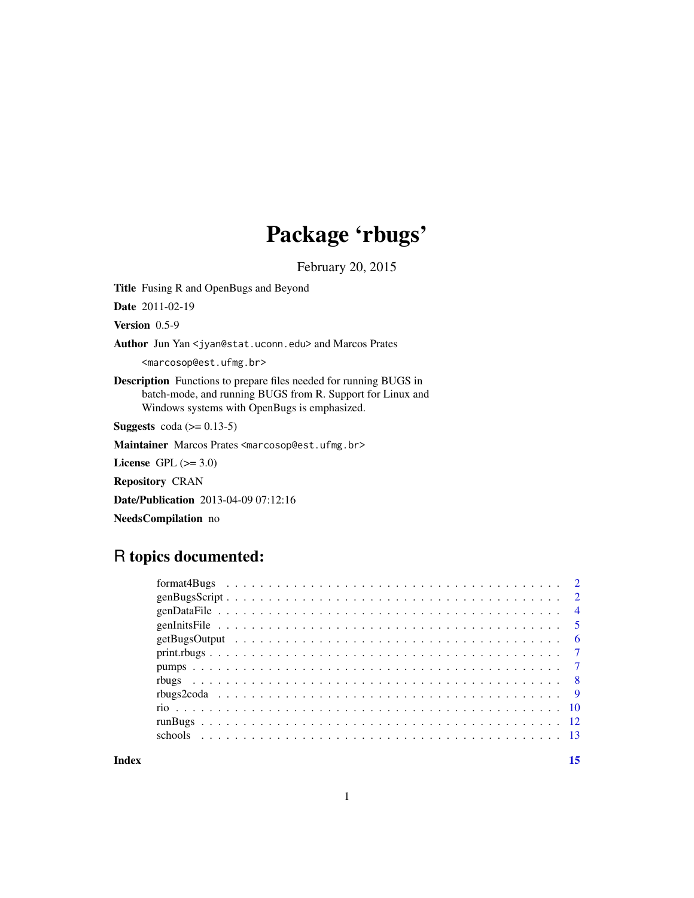## Package 'rbugs'

February 20, 2015

<span id="page-0-0"></span>Title Fusing R and OpenBugs and Beyond

Date 2011-02-19

Version 0.5-9

Author Jun Yan <jyan@stat.uconn.edu> and Marcos Prates

<marcosop@est.ufmg.br>

Description Functions to prepare files needed for running BUGS in batch-mode, and running BUGS from R. Support for Linux and Windows systems with OpenBugs is emphasized.

**Suggests** coda ( $> = 0.13-5$ )

Maintainer Marcos Prates <marcosop@est.ufmg.br>

License GPL  $(>= 3.0)$ 

Repository CRAN

Date/Publication 2013-04-09 07:12:16

NeedsCompilation no

## R topics documented:

**Index** [15](#page-14-0)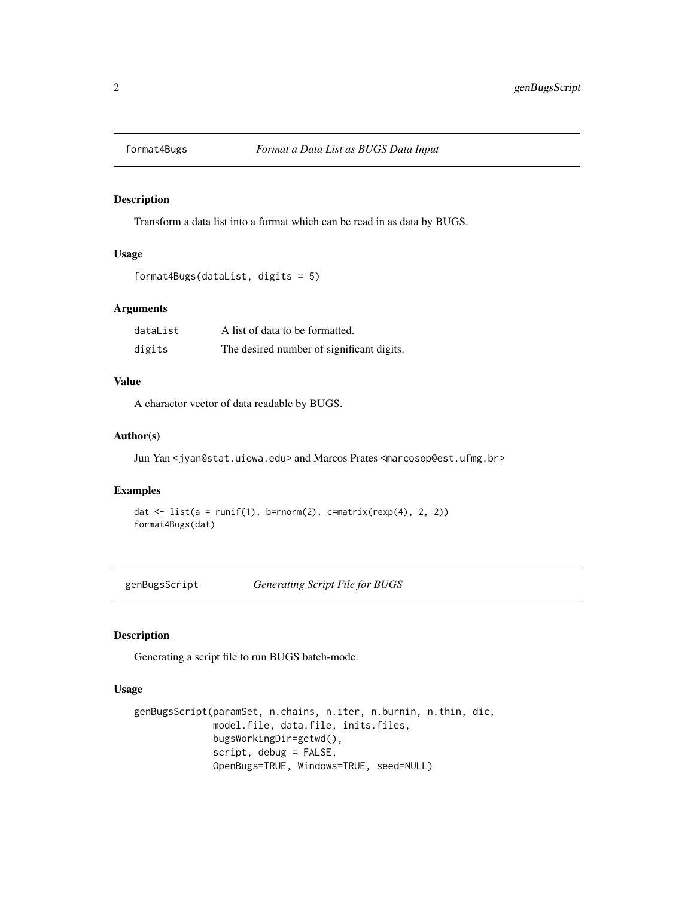<span id="page-1-1"></span><span id="page-1-0"></span>

## Description

Transform a data list into a format which can be read in as data by BUGS.

#### Usage

```
format4Bugs(dataList, digits = 5)
```
#### Arguments

| dataList | A list of data to be formatted.           |
|----------|-------------------------------------------|
| digits   | The desired number of significant digits. |

## Value

A charactor vector of data readable by BUGS.

## Author(s)

Jun Yan <jyan@stat.uiowa.edu> and Marcos Prates <marcosop@est.ufmg.br>

#### Examples

```
dat \le list(a = runif(1), b=rnorm(2), c=matrix(rexp(4), 2, 2))
format4Bugs(dat)
```
<span id="page-1-2"></span>genBugsScript *Generating Script File for BUGS*

## Description

Generating a script file to run BUGS batch-mode.

## Usage

```
genBugsScript(paramSet, n.chains, n.iter, n.burnin, n.thin, dic,
              model.file, data.file, inits.files,
              bugsWorkingDir=getwd(),
              script, debug = FALSE,
              OpenBugs=TRUE, Windows=TRUE, seed=NULL)
```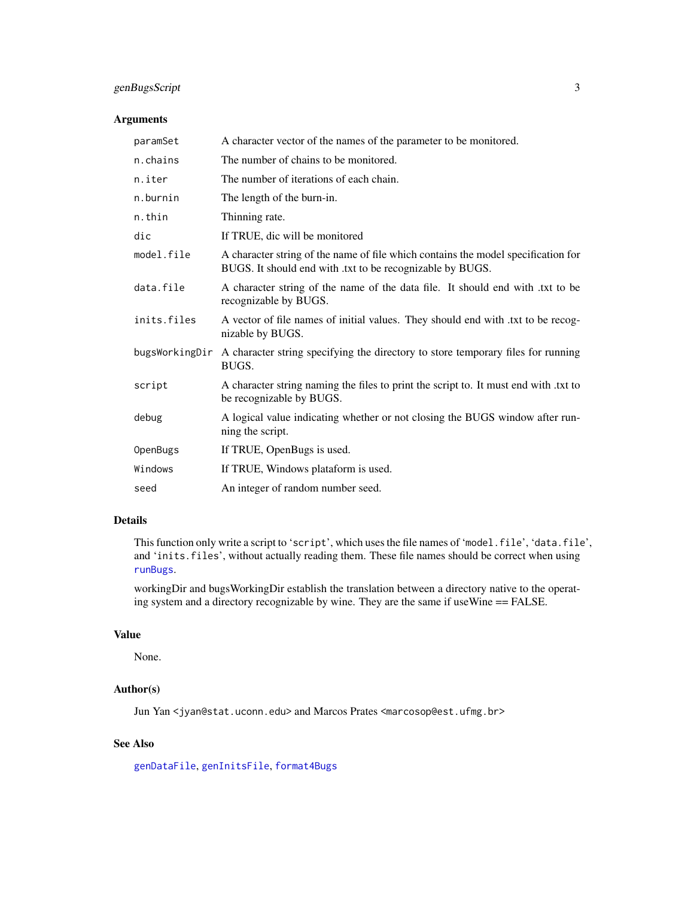## <span id="page-2-0"></span>genBugsScript 3

#### Arguments

| paramSet       | A character vector of the names of the parameter to be monitored.                                                                              |
|----------------|------------------------------------------------------------------------------------------------------------------------------------------------|
| n.chains       | The number of chains to be monitored.                                                                                                          |
| n.iter         | The number of iterations of each chain.                                                                                                        |
| n.burnin       | The length of the burn-in.                                                                                                                     |
| n.thin         | Thinning rate.                                                                                                                                 |
| dic            | If TRUE, dic will be monitored                                                                                                                 |
| model.file     | A character string of the name of file which contains the model specification for<br>BUGS. It should end with .txt to be recognizable by BUGS. |
| data.file      | A character string of the name of the data file. It should end with .txt to be<br>recognizable by BUGS.                                        |
| inits.files    | A vector of file names of initial values. They should end with txt to be recog-<br>nizable by BUGS.                                            |
| bugsWorkingDir | A character string specifying the directory to store temporary files for running<br>BUGS.                                                      |
| script         | A character string naming the files to print the script to. It must end with txt to<br>be recognizable by BUGS.                                |
| debug          | A logical value indicating whether or not closing the BUGS window after run-<br>ning the script.                                               |
| OpenBugs       | If TRUE, OpenBugs is used.                                                                                                                     |
| Windows        | If TRUE, Windows plataform is used.                                                                                                            |
| seed           | An integer of random number seed.                                                                                                              |

## Details

This function only write a script to 'script', which uses the file names of 'model.file', 'data.file', and 'inits.files', without actually reading them. These file names should be correct when using [runBugs](#page-11-1).

workingDir and bugsWorkingDir establish the translation between a directory native to the operating system and a directory recognizable by wine. They are the same if useWine == FALSE.

#### Value

None.

## Author(s)

Jun Yan <jyan@stat.uconn.edu> and Marcos Prates <marcosop@est.ufmg.br>

## See Also

[genDataFile](#page-3-1), [genInitsFile](#page-4-1), [format4Bugs](#page-1-1)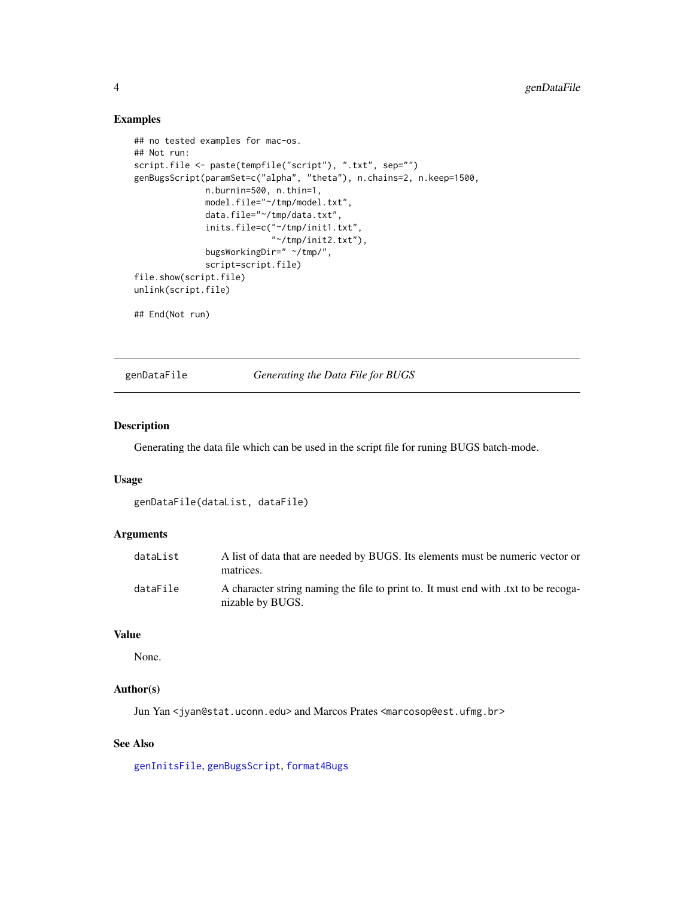#### Examples

```
## no tested examples for mac-os.
## Not run:
script.file <- paste(tempfile("script"), ".txt", sep="")
genBugsScript(paramSet=c("alpha", "theta"), n.chains=2, n.keep=1500,
              n.burnin=500, n.thin=1,
              model.file="~/tmp/model.txt",
              data.file="~/tmp/data.txt",
              inits.file=c("~/tmp/init1.txt",
                           "~/tmp/init2.txt"),
              bugsWorkingDir=" ~/tmp/",
              script=script.file)
file.show(script.file)
unlink(script.file)
```
## End(Not run)

<span id="page-3-1"></span>genDataFile *Generating the Data File for BUGS*

#### Description

Generating the data file which can be used in the script file for runing BUGS batch-mode.

## Usage

```
genDataFile(dataList, dataFile)
```
#### Arguments

| dataList | A list of data that are needed by BUGS. Its elements must be numeric vector or<br>matrices.            |
|----------|--------------------------------------------------------------------------------------------------------|
| dataFile | A character string naming the file to print to. It must end with txt to be recoga-<br>nizable by BUGS. |

#### Value

None.

#### Author(s)

Jun Yan <jyan@stat.uconn.edu> and Marcos Prates <marcosop@est.ufmg.br>

## See Also

[genInitsFile](#page-4-1), [genBugsScript](#page-1-2), [format4Bugs](#page-1-1)

<span id="page-3-0"></span>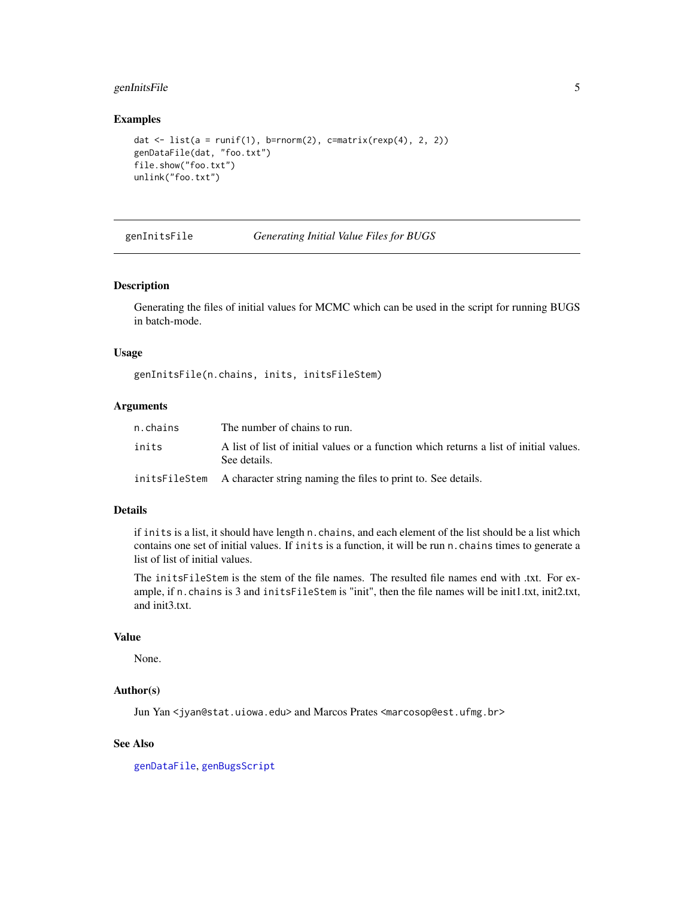## <span id="page-4-0"></span>genInitsFile 5

#### Examples

```
dat \le list(a = runif(1), b=rnorm(2), c=matrix(rexp(4), 2, 2))
genDataFile(dat, "foo.txt")
file.show("foo.txt")
unlink("foo.txt")
```
<span id="page-4-1"></span>

genInitsFile *Generating Initial Value Files for BUGS*

#### Description

Generating the files of initial values for MCMC which can be used in the script for running BUGS in batch-mode.

#### Usage

genInitsFile(n.chains, inits, initsFileStem)

#### Arguments

| n.chains | The number of chains to run.                                                                           |
|----------|--------------------------------------------------------------------------------------------------------|
| inits    | A list of list of initial values or a function which returns a list of initial values.<br>See details. |
|          | inits FileStem A character string naming the files to print to. See details.                           |

#### Details

if inits is a list, it should have length n.chains, and each element of the list should be a list which contains one set of initial values. If inits is a function, it will be run n.chains times to generate a list of list of initial values.

The initsFileStem is the stem of the file names. The resulted file names end with .txt. For example, if n.chains is 3 and initsFileStem is "init", then the file names will be init1.txt, init2.txt, and init3.txt.

#### Value

None.

## Author(s)

Jun Yan <jyan@stat.uiowa.edu> and Marcos Prates <marcosop@est.ufmg.br>

## See Also

[genDataFile](#page-3-1), [genBugsScript](#page-1-2)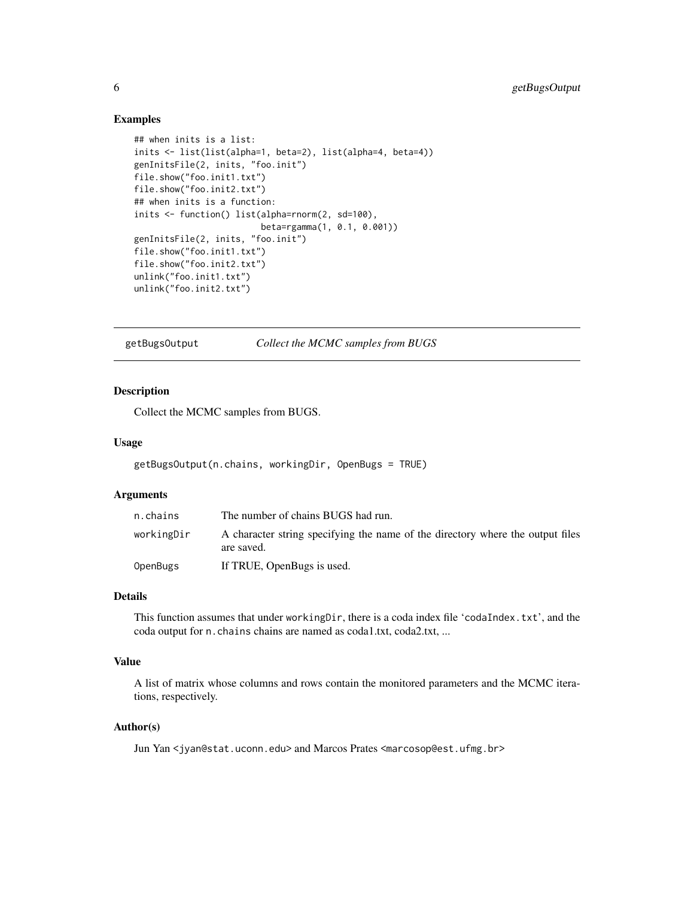#### Examples

```
## when inits is a list:
inits <- list(list(alpha=1, beta=2), list(alpha=4, beta=4))
genInitsFile(2, inits, "foo.init")
file.show("foo.init1.txt")
file.show("foo.init2.txt")
## when inits is a function:
inits <- function() list(alpha=rnorm(2, sd=100),
                         beta=rgamma(1, 0.1, 0.001))
genInitsFile(2, inits, "foo.init")
file.show("foo.init1.txt")
file.show("foo.init2.txt")
unlink("foo.init1.txt")
unlink("foo.init2.txt")
```
getBugsOutput *Collect the MCMC samples from BUGS*

#### Description

Collect the MCMC samples from BUGS.

#### Usage

```
getBugsOutput(n.chains, workingDir, OpenBugs = TRUE)
```
## Arguments

| n.chains   | The number of chains BUGS had run.                                                           |
|------------|----------------------------------------------------------------------------------------------|
| workingDir | A character string specifying the name of the directory where the output files<br>are saved. |
| OpenBugs   | If TRUE, OpenBugs is used.                                                                   |

#### Details

This function assumes that under workingDir, there is a coda index file 'codaIndex.txt', and the coda output for n.chains chains are named as coda1.txt, coda2.txt, ...

#### Value

A list of matrix whose columns and rows contain the monitored parameters and the MCMC iterations, respectively.

#### Author(s)

Jun Yan <jyan@stat.uconn.edu> and Marcos Prates <marcosop@est.ufmg.br>

<span id="page-5-0"></span>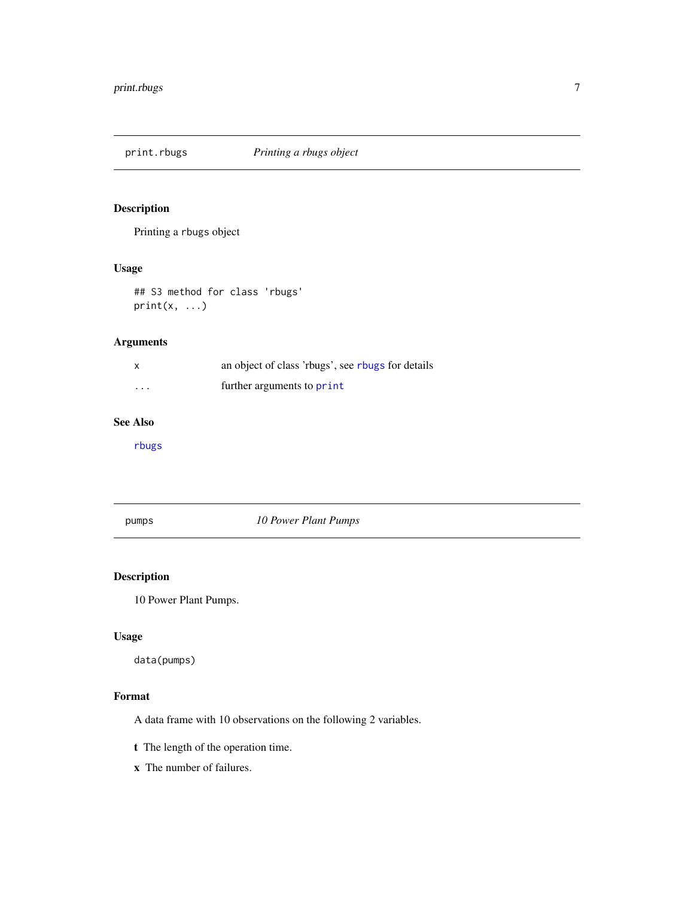<span id="page-6-0"></span>

## Description

Printing a rbugs object

## Usage

## S3 method for class 'rbugs'  $print(x, \ldots)$ 

## Arguments

| $\times$ | an object of class 'rougs', see rougs for details |
|----------|---------------------------------------------------|
| $\cdots$ | further arguments to print                        |

#### See Also

[rbugs](#page-7-1)

pumps *10 Power Plant Pumps*

## Description

10 Power Plant Pumps.

## Usage

data(pumps)

## Format

A data frame with 10 observations on the following 2 variables.

- t The length of the operation time.
- x The number of failures.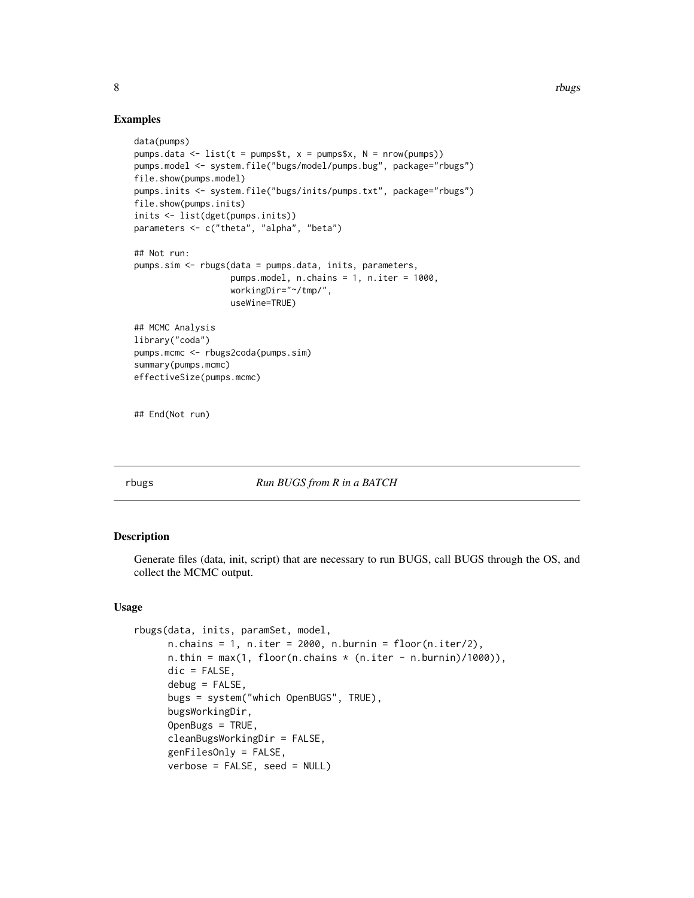#### Examples

```
data(pumps)
pumps.data <- list(t = pumps$t, x = pumps$x, N = nrow(pumps))
pumps.model <- system.file("bugs/model/pumps.bug", package="rbugs")
file.show(pumps.model)
pumps.inits <- system.file("bugs/inits/pumps.txt", package="rbugs")
file.show(pumps.inits)
inits <- list(dget(pumps.inits))
parameters <- c("theta", "alpha", "beta")
## Not run:
pumps.sim <- rbugs(data = pumps.data, inits, parameters,
                   pumps.model, n.chains = 1, n.iter = 1000,
                   workingDir="~/tmp/",
                   useWine=TRUE)
## MCMC Analysis
library("coda")
pumps.mcmc <- rbugs2coda(pumps.sim)
summary(pumps.mcmc)
effectiveSize(pumps.mcmc)
## End(Not run)
```
<span id="page-7-1"></span>

#### rbugs *Run BUGS from R in a BATCH*

## Description

Generate files (data, init, script) that are necessary to run BUGS, call BUGS through the OS, and collect the MCMC output.

#### Usage

```
rbugs(data, inits, paramSet, model,
     n.chains = 1, n.iter = 2000, n.burnin = floor(n.iter/2),
     n.thin = max(1, floor(n.chains * (n.iter - n.burnin)/1000)),
     dic = FALSE,
     debug = FALSE,bugs = system("which OpenBUGS", TRUE),
     bugsWorkingDir,
     OpenBugs = TRUE,
     cleanBugsWorkingDir = FALSE,
     genFilesOnly = FALSE,
     verbose = FALSE, seed = NULL)
```
<span id="page-7-0"></span>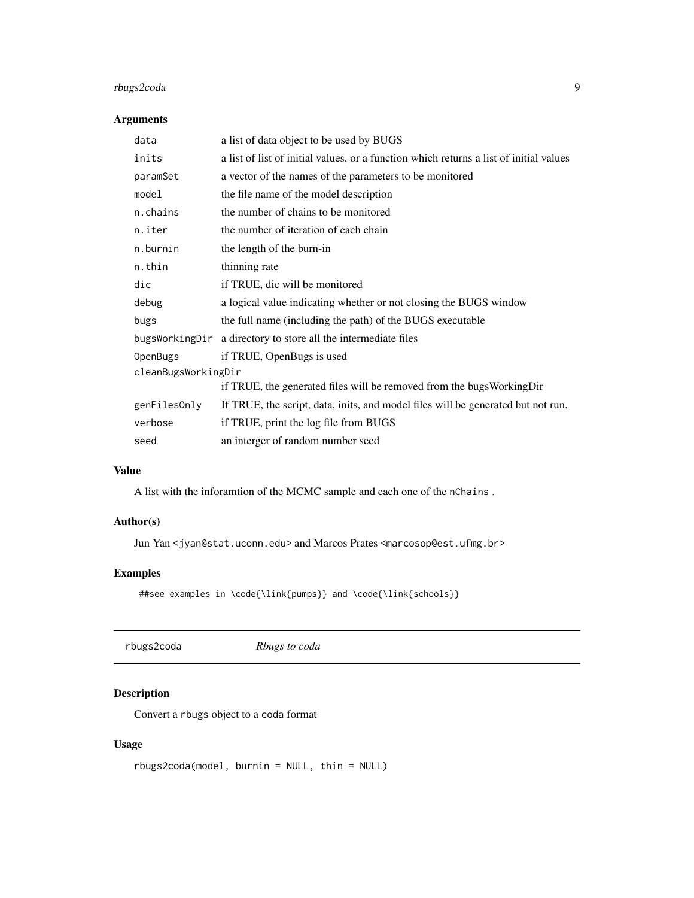## <span id="page-8-0"></span>rbugs2coda 9

## Arguments

| data                | a list of data object to be used by BUGS                                               |  |
|---------------------|----------------------------------------------------------------------------------------|--|
| inits               | a list of list of initial values, or a function which returns a list of initial values |  |
| paramSet            | a vector of the names of the parameters to be monitored                                |  |
| model               | the file name of the model description                                                 |  |
| n.chains            | the number of chains to be monitored                                                   |  |
| n.iter              | the number of iteration of each chain                                                  |  |
| n.burnin            | the length of the burn-in                                                              |  |
| n.thin              | thinning rate                                                                          |  |
| dic                 | if TRUE, dic will be monitored                                                         |  |
| debug               | a logical value indicating whether or not closing the BUGS window                      |  |
| bugs                | the full name (including the path) of the BUGS executable                              |  |
|                     | bugsWorkingDir a directory to store all the intermediate files                         |  |
| OpenBugs            | if TRUE, OpenBugs is used                                                              |  |
| cleanBugsWorkingDir |                                                                                        |  |
|                     | if TRUE, the generated files will be removed from the bugsWorkingDir                   |  |
| genFilesOnly        | If TRUE, the script, data, inits, and model files will be generated but not run.       |  |
| verbose             | if TRUE, print the log file from BUGS                                                  |  |
| seed                | an interger of random number seed                                                      |  |

#### Value

A list with the inforamtion of the MCMC sample and each one of the nChains .

## Author(s)

Jun Yan <jyan@stat.uconn.edu> and Marcos Prates <marcosop@est.ufmg.br>

## Examples

```
##see examples in \code{\link{pumps}} and \code{\link{schools}}
```
rbugs2coda *Rbugs to coda*

## Description

Convert a rbugs object to a coda format

## Usage

```
rbugs2coda(model, burnin = NULL, thin = NULL)
```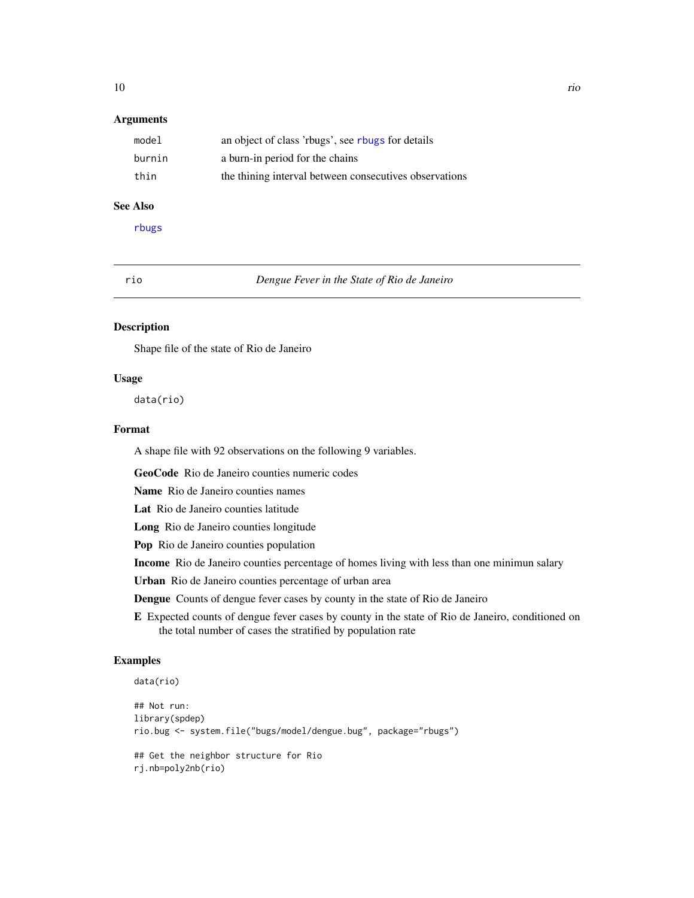#### <span id="page-9-0"></span>**Arguments**

| model  | an object of class 'rbugs', see rbugs for details      |
|--------|--------------------------------------------------------|
| burnin | a burn-in period for the chains                        |
| thin   | the thining interval between consecutives observations |

#### See Also

[rbugs](#page-7-1)

rio *Dengue Fever in the State of Rio de Janeiro*

## Description

Shape file of the state of Rio de Janeiro

#### Usage

data(rio)

## Format

A shape file with 92 observations on the following 9 variables.

GeoCode Rio de Janeiro counties numeric codes

Name Rio de Janeiro counties names

Lat Rio de Janeiro counties latitude

Long Rio de Janeiro counties longitude

Pop Rio de Janeiro counties population

Income Rio de Janeiro counties percentage of homes living with less than one minimun salary

Urban Rio de Janeiro counties percentage of urban area

Dengue Counts of dengue fever cases by county in the state of Rio de Janeiro

E Expected counts of dengue fever cases by county in the state of Rio de Janeiro, conditioned on the total number of cases the stratified by population rate

## Examples

```
data(rio)
```

```
## Not run:
library(spdep)
rio.bug <- system.file("bugs/model/dengue.bug", package="rbugs")
## Get the neighbor structure for Rio
```

```
rj.nb=poly2nb(rio)
```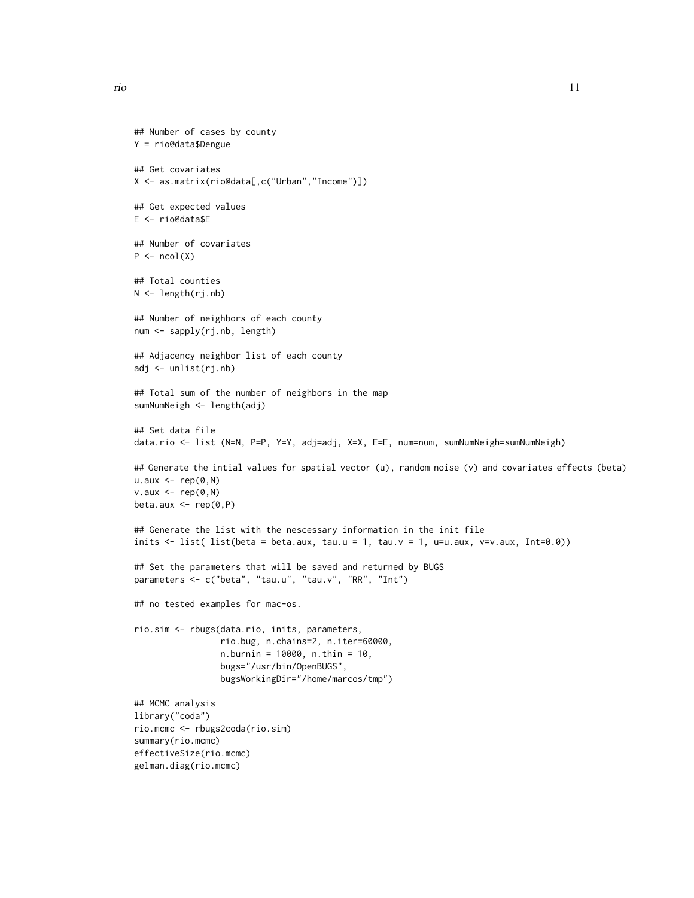```
## Number of cases by county
Y = rio@data$Dengue
## Get covariates
X <- as.matrix(rio@data[,c("Urban","Income")])
## Get expected values
E <- rio@data$E
## Number of covariates
P \leftarrow \text{ncol}(X)## Total counties
N <- length(rj.nb)
## Number of neighbors of each county
num <- sapply(rj.nb, length)
## Adjacency neighbor list of each county
adj <- unlist(rj.nb)
## Total sum of the number of neighbors in the map
sumNumNeigh <- length(adj)
## Set data file
data.rio <- list (N=N, P=P, Y=Y, adj=adj, X=X, E=E, num=num, sumNumNeigh=sumNumNeigh)
## Generate the intial values for spatial vector (u), random noise (v) and covariates effects (beta)
u.aux < - rep(0,N)v.aux < - rep(0,N)beta.aux <- rep(0,P)
## Generate the list with the nescessary information in the init file
inits \le list( list(beta = beta.aux, tau.u = 1, tau.v = 1, u=u.aux, v=v.aux, Int=0.0))
## Set the parameters that will be saved and returned by BUGS
parameters <- c("beta", "tau.u", "tau.v", "RR", "Int")
## no tested examples for mac-os.
rio.sim <- rbugs(data.rio, inits, parameters,
                 rio.bug, n.chains=2, n.iter=60000,
                 n.burnin = 10000, n.thin = 10,
                 bugs="/usr/bin/OpenBUGS",
                 bugsWorkingDir="/home/marcos/tmp")
## MCMC analysis
library("coda")
rio.mcmc <- rbugs2coda(rio.sim)
summary(rio.mcmc)
effectiveSize(rio.mcmc)
gelman.diag(rio.mcmc)
```
rio 11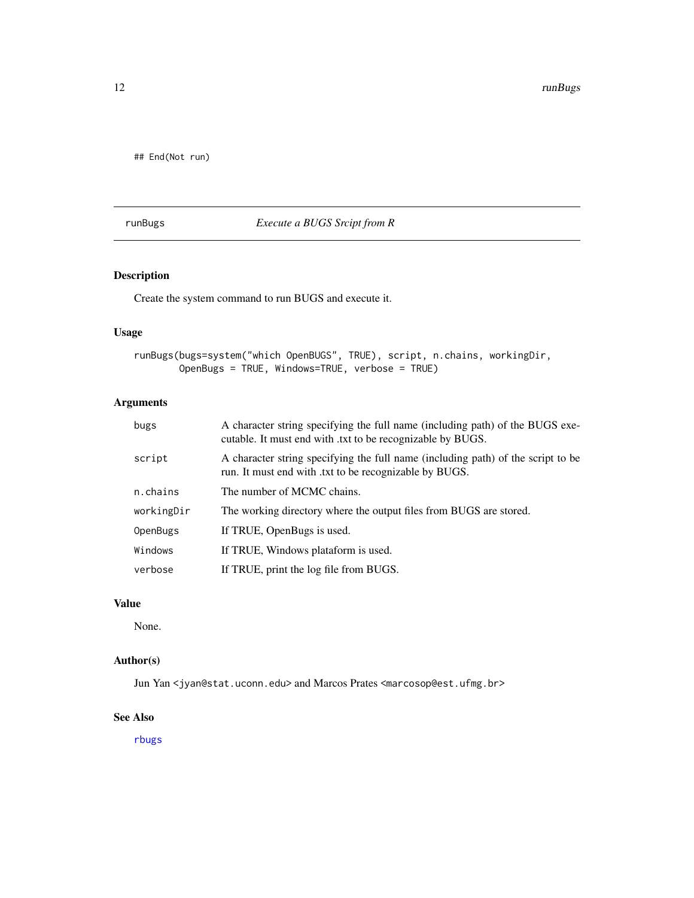<span id="page-11-0"></span>## End(Not run)

## <span id="page-11-1"></span>runBugs *Execute a BUGS Srcipt from R*

## Description

Create the system command to run BUGS and execute it.

## Usage

```
runBugs(bugs=system("which OpenBUGS", TRUE), script, n.chains, workingDir,
       OpenBugs = TRUE, Windows=TRUE, verbose = TRUE)
```
## Arguments

| bugs       | A character string specifying the full name (including path) of the BUGS exe-<br>cutable. It must end with .txt to be recognizable by BUGS. |
|------------|---------------------------------------------------------------------------------------------------------------------------------------------|
| script     | A character string specifying the full name (including path) of the script to be<br>run. It must end with txt to be recognizable by BUGS.   |
| n.chains   | The number of MCMC chains.                                                                                                                  |
| workingDir | The working directory where the output files from BUGS are stored.                                                                          |
| OpenBugs   | If TRUE, OpenBugs is used.                                                                                                                  |
| Windows    | If TRUE, Windows plataform is used.                                                                                                         |
| verbose    | If TRUE, print the log file from BUGS.                                                                                                      |

## Value

None.

## Author(s)

Jun Yan <jyan@stat.uconn.edu> and Marcos Prates <marcosop@est.ufmg.br>

## See Also

[rbugs](#page-7-1)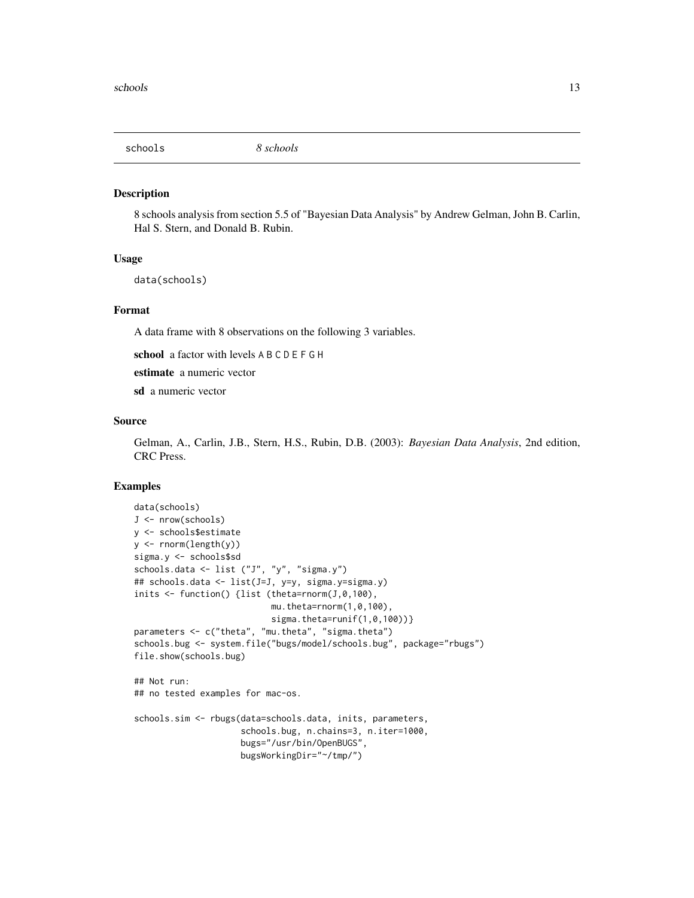<span id="page-12-0"></span>

#### Description

8 schools analysis from section 5.5 of "Bayesian Data Analysis" by Andrew Gelman, John B. Carlin, Hal S. Stern, and Donald B. Rubin.

#### Usage

data(schools)

#### Format

A data frame with 8 observations on the following 3 variables.

school a factor with levels A B C D E F G H

estimate a numeric vector

sd a numeric vector

#### Source

Gelman, A., Carlin, J.B., Stern, H.S., Rubin, D.B. (2003): *Bayesian Data Analysis*, 2nd edition, CRC Press.

## Examples

```
data(schools)
J <- nrow(schools)
y <- schools$estimate
y \le - rnorm(length(y))
sigma.y <- schools$sd
schools.data <- list ("J", "y", "sigma.y")
## schools.data <- list(J=J, y=y, sigma.y=sigma.y)
inits <- function() {list (theta=rnorm(J,0,100),
                           mu.theta=rnorm(1,0,100),
                           sigma.theta=runif(1, 0, 100)}
parameters <- c("theta", "mu.theta", "sigma.theta")
schools.bug <- system.file("bugs/model/schools.bug", package="rbugs")
file.show(schools.bug)
## Not run:
## no tested examples for mac-os.
schools.sim <- rbugs(data=schools.data, inits, parameters,
                     schools.bug, n.chains=3, n.iter=1000,
                     bugs="/usr/bin/OpenBUGS",
                     bugsWorkingDir="~/tmp/")
```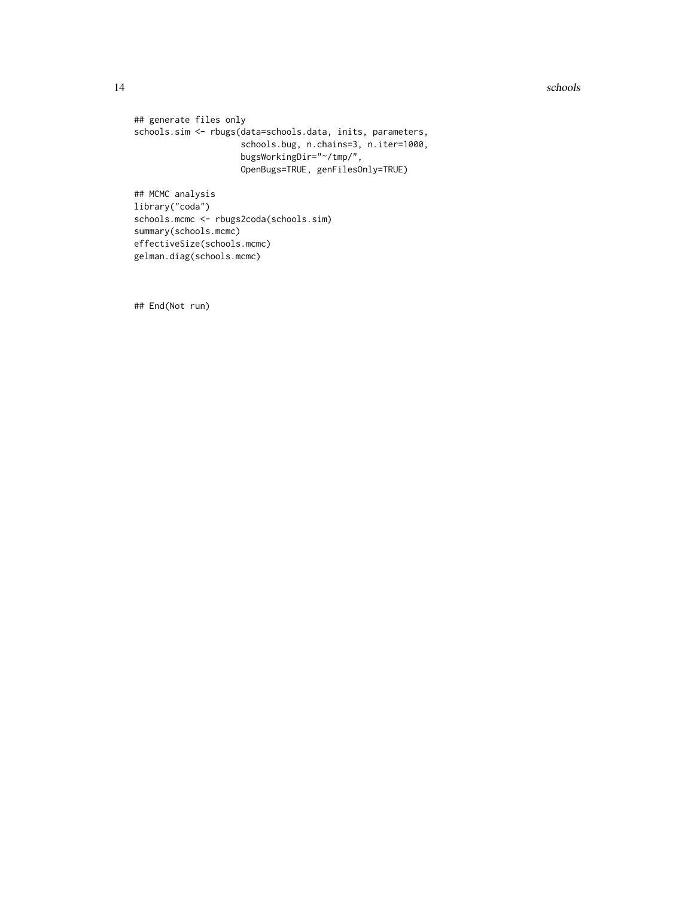14 schools and the schools of the schools of the schools of the schools of the schools of the schools of the schools of the schools of the schools of the schools of the schools of the schools of the schools of the schools

```
## generate files only
schools.sim <- rbugs(data=schools.data, inits, parameters,
                     schools.bug, n.chains=3, n.iter=1000,
                     bugsWorkingDir="~/tmp/",
                    OpenBugs=TRUE, genFilesOnly=TRUE)
## MCMC analysis
library("coda")
schools.mcmc <- rbugs2coda(schools.sim)
summary(schools.mcmc)
effectiveSize(schools.mcmc)
```
gelman.diag(schools.mcmc)

## End(Not run)